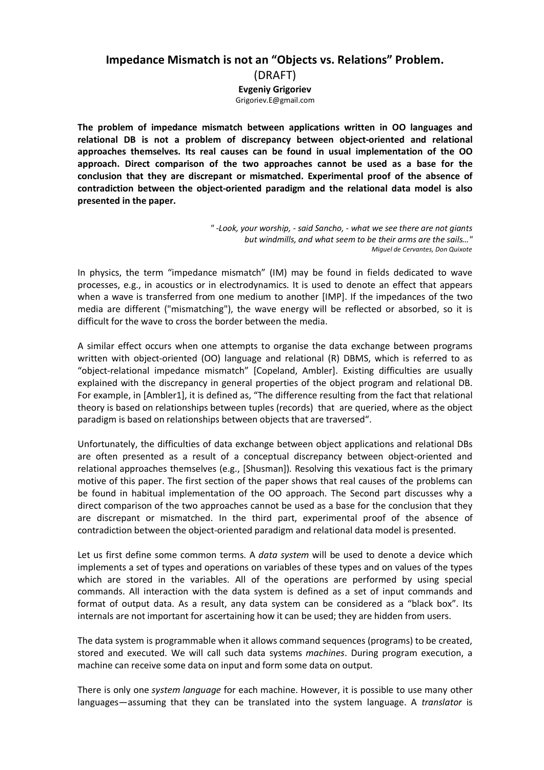# **Impedance Mismatch is not an "Objects vs. Relations" Problem.**

(DRAFT)

**Evgeniy Grigoriev**

Grigoriev.E@gmail.com

**The problem of impedance mismatch between applications written in OO languages and relational DB is not a problem of discrepancy between object-oriented and relational approaches themselves. Its real causes can be found in usual implementation of the ОО approach. Direct comparison of the two approaches cannot be used as a base for the conclusion that they are discrepant or mismatched. Experimental proof of the absence of contradiction between the object-oriented paradigm and the relational data model is also presented in the paper.** 

In physics, the term "impedance mismatch" (IM) may be found in fields dedicated to wave processes, e.g., in acoustics or in electrodynamics. It is used to denote an effect that appears when a wave is transferred from one medium to another [IMP]. If the impedances of the two media are different ("mismatching"), the wave energy will be reflected or absorbed, so it is difficult for the wave to cross the border between the media.

A similar effect occurs when one attempts to organise the data exchange between programs written with object-oriented (OO) language and relational (R) DBMS, which is referred to as "object-relational impedance mismatch" [Copeland, Ambler]. Existing difficulties are usually explained with the discrepancy in general properties of the object program and relational DB. For example, in [Ambler1], it is defined as, "The difference resulting from the fact that relational theory is based on relationships between tuples (records) that are queried, where as the object paradigm is based on relationships between objects that are traversed".

Unfortunately, the difficulties of data exchange between object applications and relational DBs are often presented as a result of a conceptual discrepancy between object-oriented and relational approaches themselves (e.g., [Shusman]). Resolving this vexatious fact is the primary motive of this paper. The first section of the paper shows that real causes of the problems can be found in habitual implementation of the ОО approach. The Second part discusses why a direct comparison of the two approaches cannot be used as a base for the conclusion that they are discrepant or mismatched. In the third part, experimental proof of the absence of contradiction between the object-oriented paradigm and relational data model is presented.

Let us first define some common terms. A *data system* will be used to denote a device which implements a set of types and operations on variables of these types and on values of the types which are stored in the variables. All of the operations are performed by using special commands. All interaction with the data system is defined as a set of input commands and format of output data. As a result, any data system can be considered as a "black box". Its internals are not important for ascertaining how it can be used; they are hidden from users.

The data system is programmable when it allows command sequences (programs) to be created, stored and executed. We will call such data systems *machines*. During program execution, a machine can receive some data on input and form some data on output.

There is only one *system language* for each machine. However, it is possible to use many other languages—assuming that they can be translated into the system language. A *translator* is

*<sup>&</sup>quot;* -*Look, your worship, - said Sancho, - what we see there are not giants but windmills, and what seem to be their arms are the sails…" Miguel de Cervantes, Don Quixote*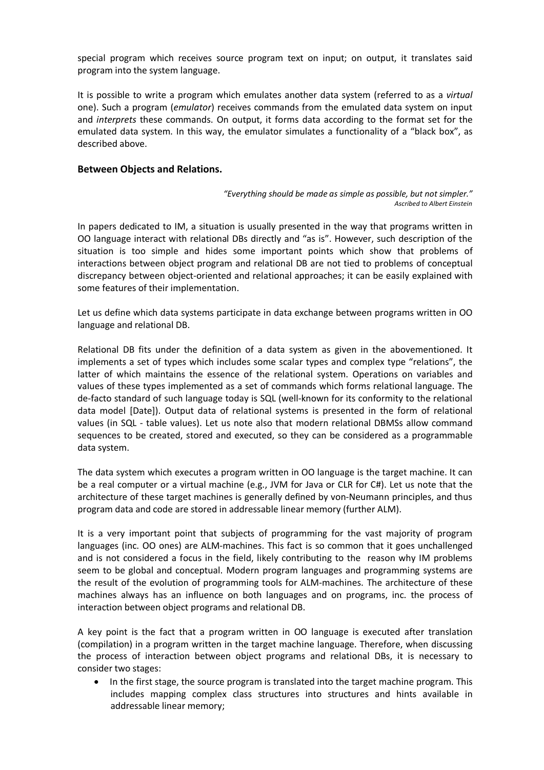special program which receives source program text on input; on output, it translates said program into the system language.

It is possible to write a program which emulates another data system (referred to as a *virtual* one). Such a program (*emulator*) receives commands from the emulated data system on input and *interprets* these commands. On output, it forms data according to the format set for the emulated data system. In this way, the emulator simulates a functionality of a "black box", as described above.

## **Between Objects and Relations.**

*"Everything should be made as simple as possible, but not simpler." Ascribed to Albert Einstein*

In papers dedicated to IM, a situation is usually presented in the way that programs written in OO language interact with relational DBs directly and "as is". However, such description of the situation is too simple and hides some important points which show that problems of interactions between object program and relational DB are not tied to problems of conceptual discrepancy between object-oriented and relational approaches; it can be easily explained with some features of their implementation.

Let us define which data systems participate in data exchange between programs written in OO language and relational DB.

Relational DB fits under the definition of a data system as given in the abovementioned. It implements a set of types which includes some scalar types and complex type "relations", the latter of which maintains the essence of the relational system. Operations on variables and values of these types implemented as a set of commands which forms relational language. The de-facto standard of such language today is SQL (well-known for its conformity to the relational data model [Date]). Output data of relational systems is presented in the form of relational values (in SQL - table values). Let us note also that modern relational DBMSs allow command sequences to be created, stored and executed, so they can be considered as a programmable data system.

The data system which executes a program written in OO language is the target machine. It can be a real computer or a virtual machine (e.g., JVM for Java or CLR for C#). Let us note that the architecture of these target machines is generally defined by von-Neumann principles, and thus program data and code are stored in addressable linear memory (further ALM).

It is a very important point that subjects of programming for the vast majority of program languages (inc. OO ones) are ALM-machines. This fact is so common that it goes unchallenged and is not considered a focus in the field, likely contributing to the reason why IM problems seem to be global and conceptual. Modern program languages and programming systems are the result of the evolution of programming tools for ALM-machines. The architecture of these machines always has an influence on both languages and on programs, inc. the process of interaction between object programs and relational DB.

A key point is the fact that a program written in OO language is executed after translation (compilation) in a program written in the target machine language. Therefore, when discussing the process of interaction between object programs and relational DBs, it is necessary to consider two stages:

In the first stage, the source program is translated into the target machine program. This includes mapping complex class structures into structures and hints available in addressable linear memory;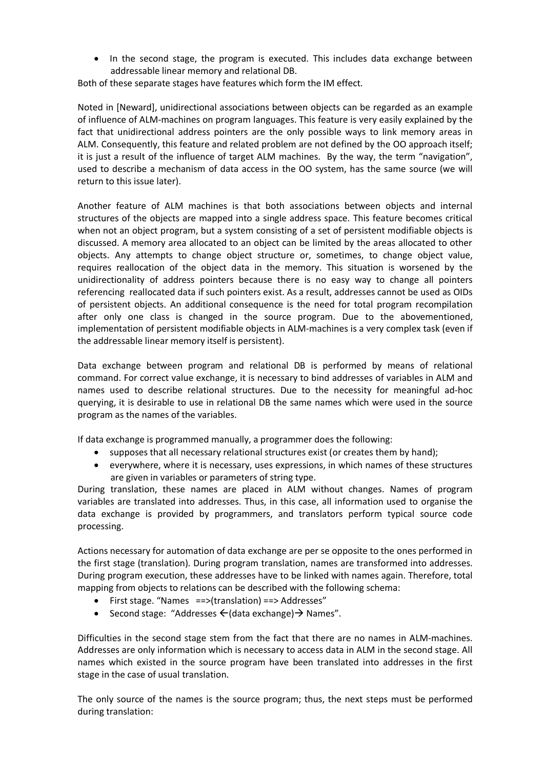· In the second stage, the program is executed. This includes data exchange between addressable linear memory and relational DB.

Both of these separate stages have features which form the IM effect.

Noted in [Neward], unidirectional associations between objects can be regarded as an example of influence of ALM-machines on program languages. This feature is very easily explained by the fact that unidirectional address pointers are the only possible ways to link memory areas in ALM. Consequently, this feature and related problem are not defined by the OO approach itself; it is just a result of the influence of target ALM machines. By the way, the term "navigation", used to describe a mechanism of data access in the OO system, has the same source (we will return to this issue later).

Another feature of ALM machines is that both associations between objects and internal structures of the objects are mapped into a single address space. This feature becomes critical when not an object program, but a system consisting of a set of persistent modifiable objects is discussed. A memory area allocated to an object can be limited by the areas allocated to other objects. Any attempts to change object structure or, sometimes, to change object value, requires reallocation of the object data in the memory. This situation is worsened by the unidirectionality of address pointers because there is no easy way to change all pointers referencing reallocated data if such pointers exist. As a result, addresses cannot be used as OIDs of persistent objects. An additional consequence is the need for total program recompilation after only one class is changed in the source program. Due to the abovementioned, implementation of persistent modifiable objects in ALM-machines is a very complex task (even if the addressable linear memory itself is persistent).

Data exchange between program and relational DB is performed by means of relational command. For correct value exchange, it is necessary to bind addresses of variables in ALM and names used to describe relational structures. Due to the necessity for meaningful ad-hoc querying, it is desirable to use in relational DB the same names which were used in the source program as the names of the variables.

If data exchange is programmed manually, a programmer does the following:

- · supposes that all necessary relational structures exist (or creates them by hand);
- · everywhere, where it is necessary, uses expressions, in which names of these structures are given in variables or parameters of string type.

During translation, these names are placed in ALM without changes. Names of program variables are translated into addresses. Thus, in this case, all information used to organise the data exchange is provided by programmers, and translators perform typical source code processing.

Actions necessary for automation of data exchange are per se opposite to the ones performed in the first stage (translation). During program translation, names are transformed into addresses. During program execution, these addresses have to be linked with names again. Therefore, total mapping from objects to relations can be described with the following schema:

- · First stage. "Names ==>(translation) ==> Addresses"
- Second stage: "Addresses  $\leftarrow$  (data exchange)  $\rightarrow$  Names".

Difficulties in the second stage stem from the fact that there are no names in ALM-machines. Addresses are only information which is necessary to access data in ALM in the second stage. All names which existed in the source program have been translated into addresses in the first stage in the case of usual translation.

The only source of the names is the source program; thus, the next steps must be performed during translation: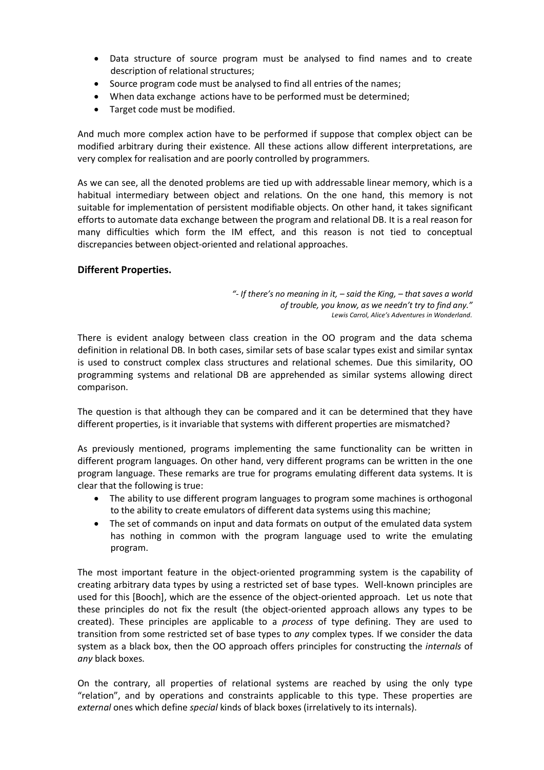- · Data structure of source program must be analysed to find names and to create description of relational structures;
- · Source program code must be analysed to find all entries of the names;
- · When data exchange actions have to be performed must be determined;
- · Target code must be modified.

And much more complex action have to be performed if suppose that complex object can be modified arbitrary during their existence. All these actions allow different interpretations, are very complex for realisation and are poorly controlled by programmers.

As we can see, all the denoted problems are tied up with addressable linear memory, which is a habitual intermediary between object and relations. On the one hand, this memory is not suitable for implementation of persistent modifiable objects. On other hand, it takes significant efforts to automate data exchange between the program and relational DB. It is a real reason for many difficulties which form the IM effect, and this reason is not tied to conceptual discrepancies between object-oriented and relational approaches.

# **Different Properties.**

*"- If there's no meaning in it, – said the King, – that saves a world of trouble, you know, as we needn't try to find any." Lewis Carrol, Alice's Adventures in Wonderland.*

There is evident analogy between class creation in the OO program and the data schema definition in relational DB. In both cases, similar sets of base scalar types exist and similar syntax is used to construct complex class structures and relational schemes. Due this similarity, OO programming systems and relational DB are apprehended as similar systems allowing direct comparison.

The question is that although they can be compared and it can be determined that they have different properties, is it invariable that systems with different properties are mismatched?

As previously mentioned, programs implementing the same functionality can be written in different program languages. On other hand, very different programs can be written in the one program language. These remarks are true for programs emulating different data systems. It is clear that the following is true:

- · The ability to use different program languages to program some machines is orthogonal to the ability to create emulators of different data systems using this machine;
- · The set of commands on input and data formats on output of the emulated data system has nothing in common with the program language used to write the emulating program.

The most important feature in the object-oriented programming system is the capability of creating arbitrary data types by using a restricted set of base types. Well-known principles are used for this [Booch], which are the essence of the object-oriented approach. Let us note that these principles do not fix the result (the object-oriented approach allows any types to be created). These principles are applicable to a *process* of type defining. They are used to transition from some restricted set of base types to *any* complex types. If we consider the data system as a black box, then the OO approach offers principles for constructing the *internals* of *any* black boxes.

On the contrary, all properties of relational systems are reached by using the only type "relation", and by operations and constraints applicable to this type. These properties are *external* ones which define *special* kinds of black boxes (irrelatively to its internals).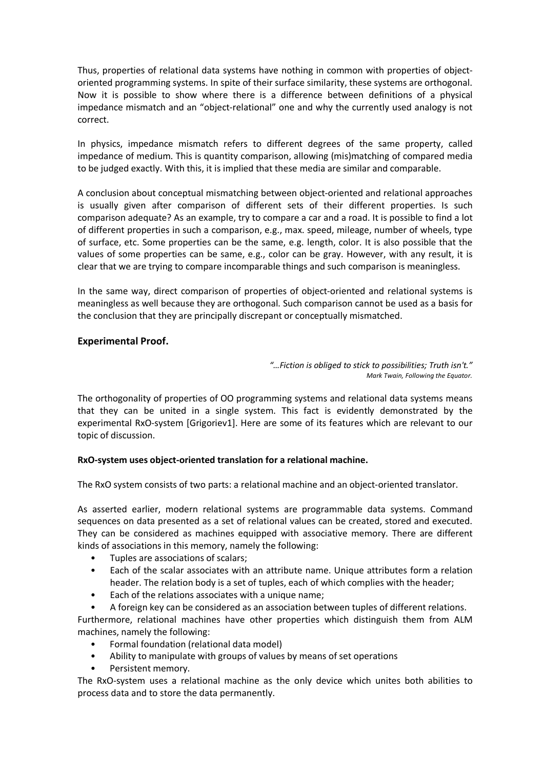Thus, properties of relational data systems have nothing in common with properties of objectoriented programming systems. In spite of their surface similarity, these systems are orthogonal. Now it is possible to show where there is a difference between definitions of a physical impedance mismatch and an "object-relational" one and why the currently used analogy is not correct.

In physics, impedance mismatch refers to different degrees of the same property, called impedance of medium. This is quantity comparison, allowing (mis)matching of compared media to be judged exactly. With this, it is implied that these media are similar and comparable.

A conclusion about conceptual mismatching between object-oriented and relational approaches is usually given after comparison of different sets of their different properties. Is such comparison adequate? As an example, try to compare a car and a road. It is possible to find a lot of different properties in such a comparison, e.g., max. speed, mileage, number of wheels, type of surface, etc. Some properties can be the same, e.g. length, color. It is also possible that the values of some properties can be same, e.g., color can be gray. However, with any result, it is clear that we are trying to compare incomparable things and such comparison is meaningless.

In the same way, direct comparison of properties of object-oriented and relational systems is meaningless as well because they are orthogonal. Such comparison cannot be used as a basis for the conclusion that they are principally discrepant or conceptually mismatched.

## **Experimental Proof.**

*"…Fiction is obliged to stick to possibilities; Truth isn't." Mark Twain, Following the Equator.*

The orthogonality of properties of OO programming systems and relational data systems means that they can be united in a single system. This fact is evidently demonstrated by the experimental RxO-system [Grigoriev1]. Here are some of its features which are relevant to our topic of discussion.

## **RxO-system uses object-oriented translation for a relational machine.**

The RxO system consists of two parts: a relational machine and an object-oriented translator.

As asserted earlier, modern relational systems are programmable data systems. Command sequences on data presented as a set of relational values can be created, stored and executed. They can be considered as machines equipped with associative memory. There are different kinds of associations in this memory, namely the following:

- Tuples are associations of scalars;
- Each of the scalar associates with an attribute name. Unique attributes form a relation header. The relation body is a set of tuples, each of which complies with the header;
- Each of the relations associates with a unique name;
- A foreign key can be considered as an association between tuples of different relations.

Furthermore, relational machines have other properties which distinguish them from ALM machines, namely the following:

- Formal foundation (relational data model)
- Ability to manipulate with groups of values by means of set operations
- Persistent memory.

The RxO-system uses a relational machine as the only device which unites both abilities to process data and to store the data permanently.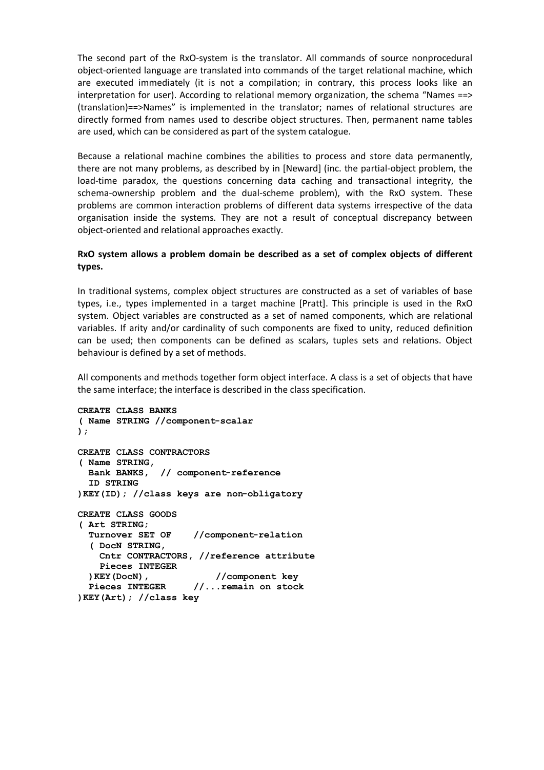The second part of the RxO-system is the translator. All commands of source nonprocedural object-oriented language are translated into commands of the target relational machine, which are executed immediately (it is not a compilation; in contrary, this process looks like an interpretation for user). According to relational memory organization, the schema "Names ==> (translation)==>Names" is implemented in the translator; names of relational structures are directly formed from names used to describe object structures. Then, permanent name tables are used, which can be considered as part of the system catalogue.

Because a relational machine combines the abilities to process and store data permanently, there are not many problems, as described by in [Neward] (inc. the partial-object problem, the load-time paradox, the questions concerning data caching and transactional integrity, the schema-ownership problem and the dual-scheme problem), with the RxO system. These problems are common interaction problems of different data systems irrespective of the data organisation inside the systems. They are not a result of conceptual discrepancy between object-oriented and relational approaches exactly.

# **RxO system allows a problem domain be described as a set of complex objects of different types.**

In traditional systems, complex object structures are constructed as a set of variables of base types, i.e., types implemented in a target machine [Pratt]. This principle is used in the RxO system. Object variables are constructed as a set of named components, which are relational variables. If arity and/or cardinality of such components are fixed to unity, reduced definition can be used; then components can be defined as scalars, tuples sets and relations. Object behaviour is defined by a set of methods.

All components and methods together form object interface. A class is a set of objects that have the same interface; the interface is described in the class specification.

```
CREATE CLASS BANKS 
( Name STRING //component-scalar
);
CREATE CLASS CONTRACTORS 
( Name STRING,
  Bank BANKS, // component-reference 
  ID STRING
)KEY(ID); //class keys are non-obligatory
CREATE CLASS GOODS
( Art STRING;
  Turnover SET OF //component-relation
   ( DocN STRING,
    Cntr CONTRACTORS, //reference attribute
    Pieces INTEGER 
 )KEY(DocN), //component key
 Pieces INTEGER //...remain on stock
)KEY(Art); //class key
```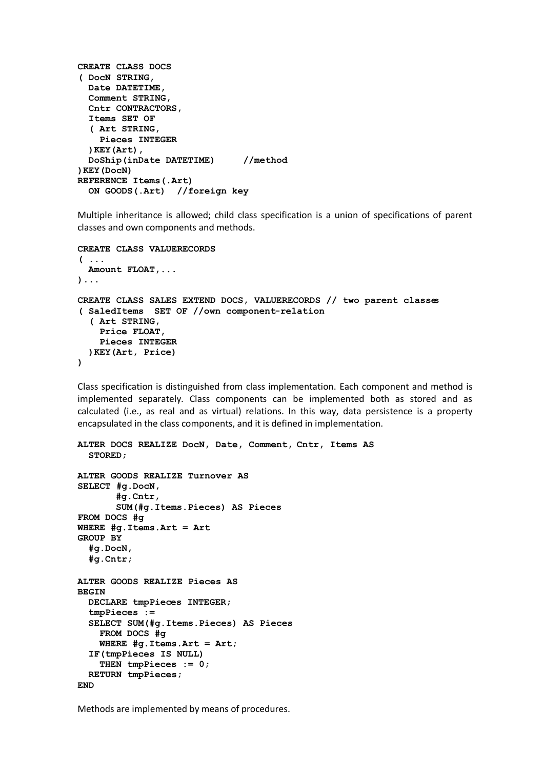```
CREATE CLASS DOCS
( DocN STRING,
   Date DATETIME,
   Comment STRING,
   Cntr CONTRACTORS, 
   Items SET OF 
   ( Art STRING,
     Pieces INTEGER 
   )KEY(Art),
   DoShip(inDate DATETIME) //method
)KEY(DocN) 
REFERENCE Items(.Art) 
   ON GOODS(.Art) //foreign key
```
Multiple inheritance is allowed; child class specification is a union of specifications of parent classes and own components and methods.

```
CREATE CLASS VALUERECORDS
( ...
  Amount FLOAT,...
)...
CREATE CLASS SALES EXTEND DOCS, VALUERECORDS // two parent classes
( SaledItems SET OF //own component-relation
   ( Art STRING,
     Price FLOAT,
     Pieces INTEGER 
  )KEY(Art, Price) 
)
```
Class specification is distinguished from class implementation. Each component and method is implemented separately. Class components can be implemented both as stored and as calculated (i.e., as real and as virtual) relations. In this way, data persistence is a property encapsulated in the class components, and it is defined in implementation.

```
ALTER DOCS REALIZE DocN, Date, Comment, Cntr, Items AS 
   STORED;
ALTER GOODS REALIZE Turnover AS
SELECT #g.DocN,
        #g.Cntr, 
        SUM(#g.Items.Pieces) AS Pieces
FROM DOCS #g
WHERE #g.Items.Art = Art
GROUP BY
   #g.DocN, 
   #g.Cntr;
ALTER GOODS REALIZE Pieces AS 
BEGIN
   DECLARE tmpPieces INTEGER; 
   tmpPieces := 
   SELECT SUM(#g.Items.Pieces) AS Pieces
     FROM DOCS #g
     WHERE #g.Items.Art = Art;
   IF(tmpPieces IS NULL)
     THEN tmpPieces := 0;
   RETURN tmpPieces;
END
```
Methods are implemented by means of procedures.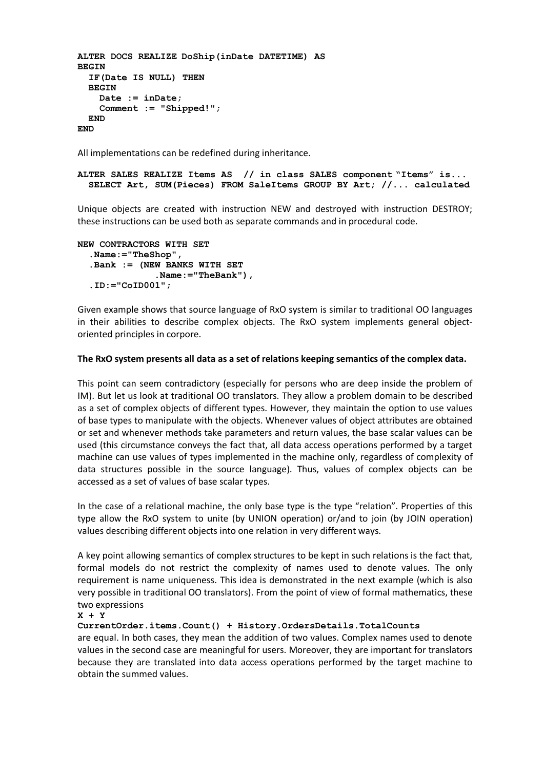```
ALTER DOCS REALIZE DoShip(inDate DATETIME) AS 
BEGIN
   IF(Date IS NULL) THEN
   BEGIN
     Date := inDate;
     Comment := "Shipped!";
   END
END
```
All implementations can be redefined during inheritance.

```
ALTER SALES REALIZE Items AS // in class SALES component "Items" is...
  SELECT Art, SUM(Pieces) FROM SaleItems GROUP BY Art; //... calculated
```
Unique objects are created with instruction NEW and destroyed with instruction DESTROY; these instructions can be used both as separate commands and in procedural code.

```
NEW CONTRACTORS WITH SET 
   .Name:="TheShop",
   .Bank := (NEW BANKS WITH SET 
                .Name:="TheBank"),
   .ID:="CoID001";
```
Given example shows that source language of RxO system is similar to traditional OO languages in their abilities to describe complex objects. The RxO system implements general objectoriented principles in corpore.

## **The RxO system presents all data as a set of relations keeping semantics of the complex data.**

This point can seem contradictory (especially for persons who are deep inside the problem of IM). But let us look at traditional OO translators. They allow a problem domain to be described as a set of complex objects of different types. However, they maintain the option to use values of base types to manipulate with the objects. Whenever values of object attributes are obtained or set and whenever methods take parameters and return values, the base scalar values can be used (this circumstance conveys the fact that, all data access operations performed by a target machine can use values of types implemented in the machine only, regardless of complexity of data structures possible in the source language). Thus, values of complex objects can be accessed as a set of values of base scalar types.

In the case of a relational machine, the only base type is the type "relation". Properties of this type allow the RxO system to unite (by UNION operation) or/and to join (by JOIN operation) values describing different objects into one relation in very different ways.

A key point allowing semantics of complex structures to be kept in such relations is the fact that, formal models do not restrict the complexity of names used to denote values. The only requirement is name uniqueness. This idea is demonstrated in the next example (which is also very possible in traditional OO translators). From the point of view of formal mathematics, these two expressions

#### **X + Y**

**CurrentOrder.items.Count() + History.OrdersDetails.TotalCounts**

are equal. In both cases, they mean the addition of two values. Complex names used to denote values in the second case are meaningful for users. Moreover, they are important for translators because they are translated into data access operations performed by the target machine to obtain the summed values.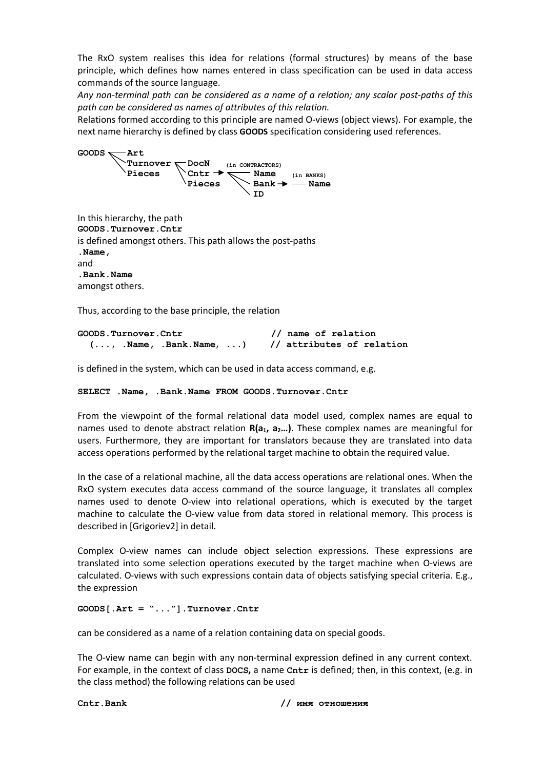The RxO system realises this idea for relations (formal structures) by means of the base principle, which defines how names entered in class specification can be used in data access commands of the source language.

*Any non-terminal path can be considered as a name of a relation; any scalar post-paths of this path can be considered as names of attributes of this relation.* 

Relations formed according to this principle are named O-views (object views). For example, the next name hierarchy is defined by class **GOODS** specification considering used references.



**GOODS.Turnover.Cntr**  is defined amongst others. This path allows the post-paths **.Name,**  and **.Bank.Name** amongst others.

Thus, according to the base principle, the relation

| GOODS.Turnover.Cntr                            |  | // name of relation |  |  |                           |
|------------------------------------------------|--|---------------------|--|--|---------------------------|
| $( \ldots, \ldots, \ldots)$ . Name, $\ldots$ ) |  |                     |  |  | // attributes of relation |

is defined in the system, which can be used in data access command, e.g.

```
SELECT .Name, .Bank.Name FROM GOODS.Turnover.Cntr
```
From the viewpoint of the formal relational data model used, complex names are equal to names used to denote abstract relation  $R(a_1, a_2...)$ . These complex names are meaningful for users. Furthermore, they are important for translators because they are translated into data access operations performed by the relational target machine to obtain the required value.

In the case of a relational machine, all the data access operations are relational ones. When the RxO system executes data access command of the source language, it translates all complex names used to denote O-view into relational operations, which is executed by the target machine to calculate the O-view value from data stored in relational memory. This process is described in [Grigoriev2] in detail.

Complex O-view names can include object selection expressions. These expressions are translated into some selection operations executed by the target machine when O-views are calculated. O-views with such expressions contain data of objects satisfying special criteria. E.g., the expression

**GOODS[.Art = "..."].Turnover.Cntr** 

can be considered as a name of a relation containing data on special goods.

The O-view name can begin with any non-terminal expression defined in any current context. For example, in the context of class **DOCS,** a name **Cntr** is defined; then, in this context, (e.g. in the class method) the following relations can be used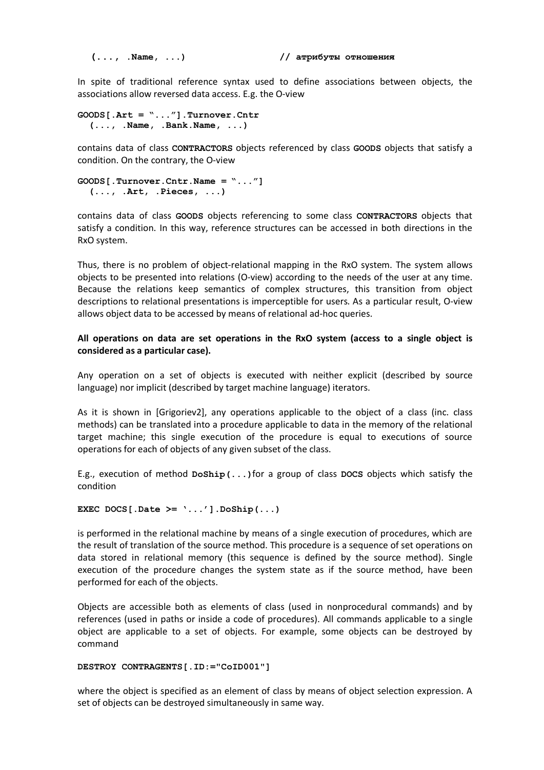#### **(..., .Name, ...) // атрибуты отношения**

In spite of traditional reference syntax used to define associations between objects, the associations allow reversed data access. E.g. the O-view

```
GOODS[.Art = "..."].Turnover.Cntr 
   (..., .Name, .Bank.Name, ...)
```
contains data of class **CONTRACTORS** objects referenced by class **GOODS** objects that satisfy a condition. On the contrary, the O-view

```
GOODS[.Turnover.Cntr.Name = "..."] 
   (..., .Art, .Pieces, ...)
```
contains data of class **GOODS** objects referencing to some class **CONTRACTORS** objects that satisfy a condition. In this way, reference structures can be accessed in both directions in the RxO system.

Thus, there is no problem of object-relational mapping in the RxO system. The system allows objects to be presented into relations (O-view) according to the needs of the user at any time. Because the relations keep semantics of complex structures, this transition from object descriptions to relational presentations is imperceptible for users. As a particular result, O-view allows object data to be accessed by means of relational ad-hoc queries.

## **All operations on data are set operations in the RxO system (access to a single object is considered as a particular case).**

Any operation on a set of objects is executed with neither explicit (described by source language) nor implicit (described by target machine language) iterators.

As it is shown in [Grigoriev2], any operations applicable to the object of a class (inc. class methods) can be translated into a procedure applicable to data in the memory of the relational target machine; this single execution of the procedure is equal to executions of source operations for each of objects of any given subset of the class.

E.g., execution of method **DoShip(...)**for a group of class **DOCS** objects which satisfy the condition

```
EXEC DOCS[.Date >= '...'].DoShip(...)
```
is performed in the relational machine by means of a single execution of procedures, which are the result of translation of the source method. This procedure is a sequence of set operations on data stored in relational memory (this sequence is defined by the source method). Single execution of the procedure changes the system state as if the source method, have been performed for each of the objects.

Objects are accessible both as elements of class (used in nonprocedural commands) and by references (used in paths or inside a code of procedures). All commands applicable to a single object are applicable to a set of objects. For example, some objects can be destroyed by command

```
DESTROY CONTRAGENTS[.ID:="CoID001"]
```
where the object is specified as an element of class by means of object selection expression. A set of objects can be destroyed simultaneously in same way.